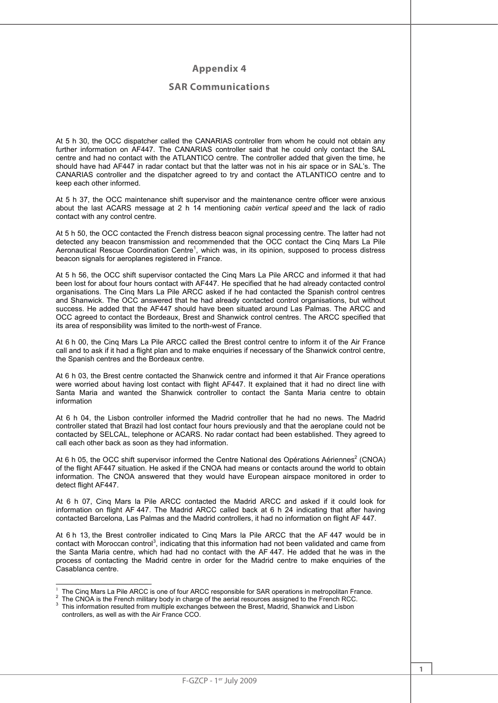## **Appendix 4**

## **SAR Communications**

At 5 h 30, the OCC dispatcher called the CANARIAS controller from whom he could not obtain any further information on AF447. The CANARIAS controller said that he could only contact the SAL centre and had no contact with the ATLANTICO centre. The controller added that given the time, he should have had AF447 in radar contact but that the latter was not in his air space or in SAL's. The CANARIAS controller and the dispatcher agreed to try and contact the ATLANTICO centre and to keep each other informed.

At 5 h 37, the OCC maintenance shift supervisor and the maintenance centre officer were anxious about the last ACARS message at 2 h 14 mentioning *cabin vertical speed* and the lack of radio contact with any control centre.

At 5 h 50, the OCC contacted the French distress beacon signal processing centre. The latter had not detected any beacon transmission and recommended that the OCC contact the Cinq Mars La Pile Aeronautical Rescue Coordination Centre<sup>1</sup>, which was, in its opinion, supposed to process distress beacon signals for aeroplanes registered in France.

At 5 h 56, the OCC shift supervisor contacted the Cinq Mars La Pile ARCC and informed it that had been lost for about four hours contact with AF447. He specified that he had already contacted control organisations. The Cinq Mars La Pile ARCC asked if he had contacted the Spanish control centres and Shanwick. The OCC answered that he had already contacted control organisations, but without success. He added that the AF447 should have been situated around Las Palmas. The ARCC and OCC agreed to contact the Bordeaux, Brest and Shanwick control centres. The ARCC specified that its area of responsibility was limited to the north-west of France.

At 6 h 00, the Cinq Mars La Pile ARCC called the Brest control centre to inform it of the Air France call and to ask if it had a flight plan and to make enquiries if necessary of the Shanwick control centre, the Spanish centres and the Bordeaux centre.

At 6 h 03, the Brest centre contacted the Shanwick centre and informed it that Air France operations were worried about having lost contact with flight AF447. It explained that it had no direct line with Santa Maria and wanted the Shanwick controller to contact the Santa Maria centre to obtain information

At 6 h 04, the Lisbon controller informed the Madrid controller that he had no news. The Madrid controller stated that Brazil had lost contact four hours previously and that the aeroplane could not be contacted by SELCAL, telephone or ACARS. No radar contact had been established. They agreed to call each other back as soon as they had information.

At 6 h 05, the OCC shift supervisor informed the Centre National des Opérations Aériennes<sup>2</sup> (CNOA) of the flight AF447 situation. He asked if the CNOA had means or contacts around the world to obtain information. The CNOA answered that they would have European airspace monitored in order to detect flight AF447.

At 6 h 07, Cinq Mars la Pile ARCC contacted the Madrid ARCC and asked if it could look for information on flight AF 447. The Madrid ARCC called back at 6 h 24 indicating that after having contacted Barcelona, Las Palmas and the Madrid controllers, it had no information on flight AF 447.

At 6 h 13, the Brest controller indicated to Cinq Mars la Pile ARCC that the AF 447 would be in contact with Moroccan control<sup>3</sup>, indicating that this information had not been validated and came from the Santa Maria centre, which had had no contact with the AF 447. He added that he was in the process of contacting the Madrid centre in order for the Madrid centre to make enquiries of the Casablanca centre.

 $\overline{a}$ <sup>1</sup> The Cinq Mars La Pile ARCC is one of four ARCC responsible for SAR operations in metropolitan France.<br><sup>2</sup> The CNOA is the Franch military hody in oberge of the equal resources assigned to the Franch BCC.

<sup>&</sup>lt;sup>2</sup> The CNOA is the French military body in charge of the aerial resources assigned to the French RCC.  $3$  This information resulted from multiple exchanges between the Brest, Madrid, Shanwick and Lisbon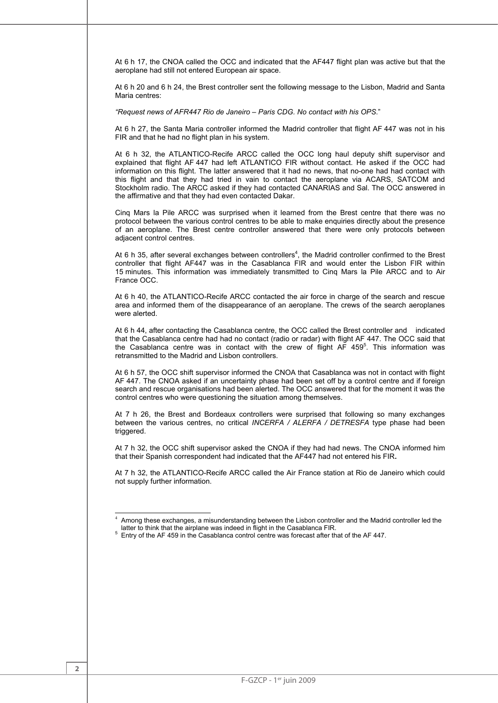At 6 h 17, the CNOA called the OCC and indicated that the AF447 flight plan was active but that the aeroplane had still not entered European air space.

At 6 h 20 and 6 h 24, the Brest controller sent the following message to the Lisbon, Madrid and Santa Maria centres:

*"Request news of AFR447 Rio de Janeiro – Paris CDG. No contact with his OPS*."

At 6 h 27, the Santa Maria controller informed the Madrid controller that flight AF 447 was not in his FIR and that he had no flight plan in his system.

At 6 h 32, the ATLANTICO-Recife ARCC called the OCC long haul deputy shift supervisor and explained that flight AF 447 had left ATLANTICO FIR without contact. He asked if the OCC had information on this flight. The latter answered that it had no news, that no-one had had contact with this flight and that they had tried in vain to contact the aeroplane via ACARS, SATCOM and Stockholm radio. The ARCC asked if they had contacted CANARIAS and Sal. The OCC answered in the affirmative and that they had even contacted Dakar.

Cinq Mars la Pile ARCC was surprised when it learned from the Brest centre that there was no protocol between the various control centres to be able to make enquiries directly about the presence of an aeroplane. The Brest centre controller answered that there were only protocols between adjacent control centres.

At 6 h 35, after several exchanges between controllers<sup>4</sup>, the Madrid controller confirmed to the Brest controller that flight AF447 was in the Casablanca FIR and would enter the Lisbon FIR within 15 minutes. This information was immediately transmitted to Cinq Mars la Pile ARCC and to Air France OCC.

At 6 h 40, the ATLANTICO-Recife ARCC contacted the air force in charge of the search and rescue area and informed them of the disappearance of an aeroplane. The crews of the search aeroplanes were alerted.

At 6 h 44, after contacting the Casablanca centre, the OCC called the Brest controller and indicated that the Casablanca centre had had no contact (radio or radar) with flight AF 447. The OCC said that the Casablanca centre was in contact with the crew of flight AF 459<sup>5</sup>. This information was retransmitted to the Madrid and Lisbon controllers.

At 6 h 57, the OCC shift supervisor informed the CNOA that Casablanca was not in contact with flight AF 447. The CNOA asked if an uncertainty phase had been set off by a control centre and if foreign search and rescue organisations had been alerted. The OCC answered that for the moment it was the control centres who were questioning the situation among themselves.

At 7 h 26, the Brest and Bordeaux controllers were surprised that following so many exchanges between the various centres, no critical *INCERFA / ALERFA / DETRESFA* type phase had been triggered.

At 7 h 32, the OCC shift supervisor asked the CNOA if they had had news. The CNOA informed him that their Spanish correspondent had indicated that the AF447 had not entered his FIR**.**

At 7 h 32, the ATLANTICO-Recife ARCC called the Air France station at Rio de Janeiro which could not supply further information.

-

Among these exchanges, a misunderstanding between the Lisbon controller and the Madrid controller led the latter to think that the airplane was indeed in flight in the Casablanca FIR.

latter to think that the airplane was indeed in flight in the Casablanca FIR.<br><sup>5</sup> Entry of the AF 459 in the Casablanca control centre was forecast after that of the AF 447.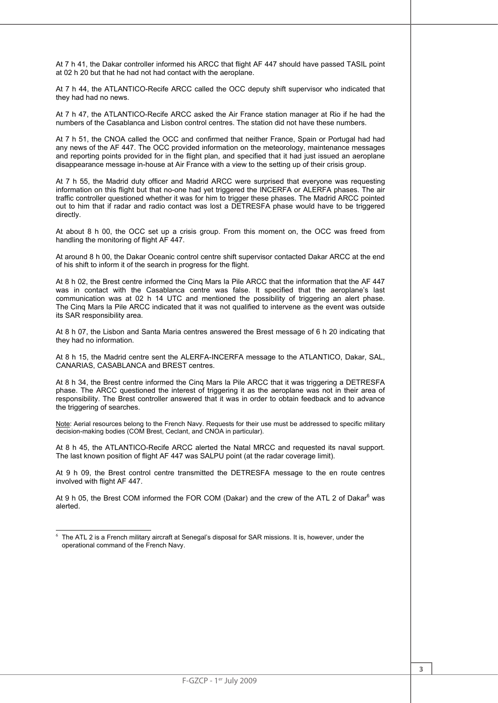At 7 h 41, the Dakar controller informed his ARCC that flight AF 447 should have passed TASIL point at 02 h 20 but that he had not had contact with the aeroplane.

At 7 h 44, the ATLANTICO-Recife ARCC called the OCC deputy shift supervisor who indicated that they had had no news.

At 7 h 47, the ATLANTICO-Recife ARCC asked the Air France station manager at Rio if he had the numbers of the Casablanca and Lisbon control centres. The station did not have these numbers.

At 7 h 51, the CNOA called the OCC and confirmed that neither France, Spain or Portugal had had any news of the AF 447. The OCC provided information on the meteorology, maintenance messages and reporting points provided for in the flight plan, and specified that it had just issued an aeroplane disappearance message in-house at Air France with a view to the setting up of their crisis group.

At 7 h 55, the Madrid duty officer and Madrid ARCC were surprised that everyone was requesting information on this flight but that no-one had yet triggered the INCERFA or ALERFA phases. The air traffic controller questioned whether it was for him to trigger these phases. The Madrid ARCC pointed out to him that if radar and radio contact was lost a DETRESFA phase would have to be triggered directly.

At about 8 h 00, the OCC set up a crisis group. From this moment on, the OCC was freed from handling the monitoring of flight AF 447.

At around 8 h 00, the Dakar Oceanic control centre shift supervisor contacted Dakar ARCC at the end of his shift to inform it of the search in progress for the flight.

At 8 h 02, the Brest centre informed the Cinq Mars la Pile ARCC that the information that the AF 447 was in contact with the Casablanca centre was false. It specified that the aeroplane's last communication was at 02 h 14 UTC and mentioned the possibility of triggering an alert phase. The Cinq Mars la Pile ARCC indicated that it was not qualified to intervene as the event was outside its SAR responsibility area.

At 8 h 07, the Lisbon and Santa Maria centres answered the Brest message of 6 h 20 indicating that they had no information.

At 8 h 15, the Madrid centre sent the ALERFA-INCERFA message to the ATLANTICO, Dakar, SAL, CANARIAS, CASABLANCA and BREST centres.

At 8 h 34, the Brest centre informed the Cinq Mars la Pile ARCC that it was triggering a DETRESFA phase. The ARCC questioned the interest of triggering it as the aeroplane was not in their area of responsibility. The Brest controller answered that it was in order to obtain feedback and to advance the triggering of searches.

Note: Aerial resources belong to the French Navy. Requests for their use must be addressed to specific military decision-making bodies (COM Brest, Ceclant, and CNOA in particular).

At 8 h 45, the ATLANTICO-Recife ARCC alerted the Natal MRCC and requested its naval support. The last known position of flight AF 447 was SALPU point (at the radar coverage limit).

At 9 h 09, the Brest control centre transmitted the DETRESFA message to the en route centres involved with flight AF 447.

At 9 h 05, the Brest COM informed the FOR COM (Dakar) and the crew of the ATL 2 of Dakar $^6$  was alerted.

 $\overline{a}$  $^6$  The ATL 2 is a French military aircraft at Senegal's disposal for SAR missions. It is, however, under the operational command of the French Navy.